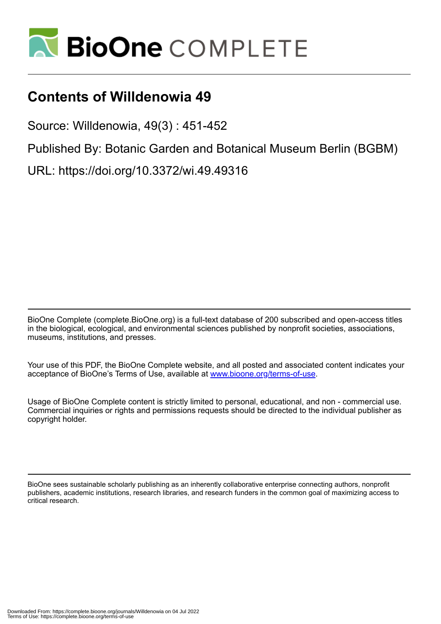

## **Contents of Willdenowia 49**

Source: Willdenowia, 49(3) : 451-452

Published By: Botanic Garden and Botanical Museum Berlin (BGBM)

URL: https://doi.org/10.3372/wi.49.49316

BioOne Complete (complete.BioOne.org) is a full-text database of 200 subscribed and open-access titles in the biological, ecological, and environmental sciences published by nonprofit societies, associations, museums, institutions, and presses.

Your use of this PDF, the BioOne Complete website, and all posted and associated content indicates your acceptance of BioOne's Terms of Use, available at www.bioone.org/terms-of-use.

Usage of BioOne Complete content is strictly limited to personal, educational, and non - commercial use. Commercial inquiries or rights and permissions requests should be directed to the individual publisher as copyright holder.

BioOne sees sustainable scholarly publishing as an inherently collaborative enterprise connecting authors, nonprofit publishers, academic institutions, research libraries, and research funders in the common goal of maximizing access to critical research.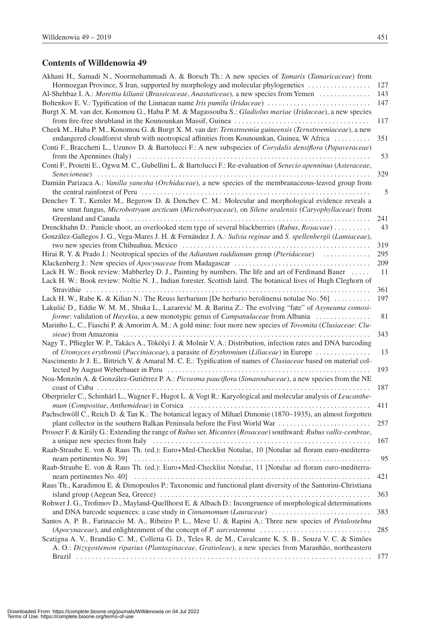## **Contents of Willdenowia 49**

| Akhani H., Samadi N., Noormohammadi A. & Borsch Th.: A new species of <i>Tamarix (Tamaricaceae)</i> from                                                                                                                       |     |
|--------------------------------------------------------------------------------------------------------------------------------------------------------------------------------------------------------------------------------|-----|
| Hormozgan Province, S Iran, supported by morphology and molecular phylogenetics                                                                                                                                                | 127 |
| Al-Shehbaz I. A.: Morettia kilianii (Brassicaceae, Anastaticeae), a new species from Yemen                                                                                                                                     | 143 |
|                                                                                                                                                                                                                                | 147 |
| Burgt X. M. van der, Konomou G., Haba P. M. & Magassouba S.: Gladiolus mariae (Iridaceae), a new species                                                                                                                       |     |
|                                                                                                                                                                                                                                | 117 |
| Cheek M., Haba P. M., Konomou G. & Burgt X. M. van der: Ternstroemia guineensis (Ternstroemiaceae), a new                                                                                                                      |     |
| endangered cloudforest shrub with neotropical affinities from Kounounkan, Guinea, W Africa                                                                                                                                     | 351 |
| Conti F., Bracchetti L., Uzunov D. & Bartolucci F.: A new subspecies of Corydalis densiflora (Papaveraceae)                                                                                                                    |     |
|                                                                                                                                                                                                                                | 53  |
| Conti F., Proietti E., Ogwu M. C., Gubellini L. & Bartolucci F.: Re-evaluation of Senecio apenninus (Asteraceae,                                                                                                               |     |
|                                                                                                                                                                                                                                | 329 |
| Damián Parizaca A.: Vanilla yanesha (Orchidaceae), a new species of the membranaceous-leaved group from                                                                                                                        |     |
|                                                                                                                                                                                                                                | 5   |
| Denchev T. T., Kemler M., Begerow D. & Denchev C. M.: Molecular and morphological evidence reveals a                                                                                                                           |     |
| new smut fungus, Microbotryum arcticum (Microbotryaceae), on Silene uralensis (Caryophyllaceae) from                                                                                                                           |     |
| Greenland and Canada (a) and Canada (b) and Canada (b) and contain the control of the control of the control of the control of the control of the control of the control of the control of the control of the control of the c | 241 |
| Drenckhahn D.: Panicle shoot, an overlooked stem type of several blackberries (Rubus, Rosaceae)                                                                                                                                | 43  |
| González-Gallegos J. G., Vega-Mares J. H. & Fernández J. A.: Salvia reginae and S. spellenbergii (Lamiaceae),                                                                                                                  |     |
|                                                                                                                                                                                                                                | 319 |
| Hirai R.Y. & Prado J.: Neotropical species of the Adiantum raddianum group (Pteridaceae)                                                                                                                                       | 295 |
|                                                                                                                                                                                                                                | 209 |
| Lack H. W.: Book review: Mabberley D. J., Painting by numbers. The life and art of Ferdinand Bauer                                                                                                                             | 11  |
| Lack H. W.: Book review: Noltie N. J., Indian forester, Scottish laird. The botanical lives of Hugh Cleghorn of                                                                                                                |     |
|                                                                                                                                                                                                                                | 361 |
| Lack H. W., Rabe K. & Kilian N.: The Reuss herbarium [De herbario berolinensi notulae No. 56] $\dots$                                                                                                                          | 197 |
| Lakušić D., Eddie W. M. M., Shuka L., Lazarević M. & Barina Z.: The evolving "fate" of Asyneuma comosi-                                                                                                                        |     |
| forme: validation of Hayekia, a new monotypic genus of <i>Campanulaceae</i> from Albania                                                                                                                                       | 81  |
| Marinho L. C., Fiaschi P. & Amorim A. M.: A gold mine: four more new species of Tovomita (Clusiaceae: Clu-                                                                                                                     |     |
|                                                                                                                                                                                                                                | 343 |
| Nagy T., Pfliegler W. P., Takács A., Tökölyi J. & Molnár V. A.: Distribution, infection rates and DNA barcoding                                                                                                                |     |
| of Uromyces erythronii (Pucciniaceae), a parasite of Erythronium (Liliaceae) in Europe                                                                                                                                         | 13  |
| Nascimento Jr J. E., Bittrich V. & Amaral M. C. E.: Typification of names of <i>Clusiaceae</i> based on material col-                                                                                                          |     |
|                                                                                                                                                                                                                                | 193 |
| Noa-Monzón A. & González-Gutiérrez P. A.: Picrasma pauciflora (Simaroubaceae), a new species from the NE                                                                                                                       |     |
| coast of Cuba                                                                                                                                                                                                                  | 187 |
| Oberprieler C., Schinhärl L., Wagner F., Hugot L. & Vogt R.: Karyological and molecular analysis of Leucanthe-                                                                                                                 |     |
|                                                                                                                                                                                                                                | 411 |
| Pachschwöll C., Reich D. & Tan K.: The botanical legacy of Mihael Dimonie (1870–1935), an almost forgotten                                                                                                                     |     |
| plant collector in the southern Balkan Peninsula before the First World War                                                                                                                                                    | 257 |
| Prosser F. & Király G.: Extending the range of Rubus ser. Micantes (Rosaceae) southward: Rubus vallis-cembrae,                                                                                                                 |     |
|                                                                                                                                                                                                                                | 167 |
| Raab-Straube E. von & Raus Th. (ed.): Euro+Med-Checklist Notulae, 10 [Notulae ad floram euro-mediterra-                                                                                                                        |     |
| Raab-Straube E. von & Raus Th. (ed.): Euro+Med-Checklist Notulae, 11 [Notulae ad floram euro-mediterra-                                                                                                                        | 95  |
|                                                                                                                                                                                                                                |     |
| Raus Th., Karadimou E. & Dimopoulos P.: Taxonomic and functional plant diversity of the Santorini-Christiana                                                                                                                   | 421 |
|                                                                                                                                                                                                                                | 363 |
| Rohwer J. G., Trofimov D., Mayland-Quellhorst E. & Albach D.: Incongruence of morphological determinations                                                                                                                     |     |
|                                                                                                                                                                                                                                |     |
| and DNA barcode sequences: a case study in Cinnamomum (Lauraceae)<br>Santos A. P. B., Farinaccio M. A., Ribeiro P. L., Meve U. & Rapini A.: Three new species of Petalostelma                                                  | 383 |
| (Apocynaceae), and enlightenment of the concept of P. sarcostemma                                                                                                                                                              | 285 |
| Scatigna A. V., Brandão C. M., Colletta G. D., Teles R. de M., Cavalcante K. S. B., Souza V. C. & Simões                                                                                                                       |     |
| A. O.: Dizygostemon riparius (Plantaginaceae, Gratioleae), a new species from Maranhão, northeastern                                                                                                                           |     |
|                                                                                                                                                                                                                                | 177 |
|                                                                                                                                                                                                                                |     |